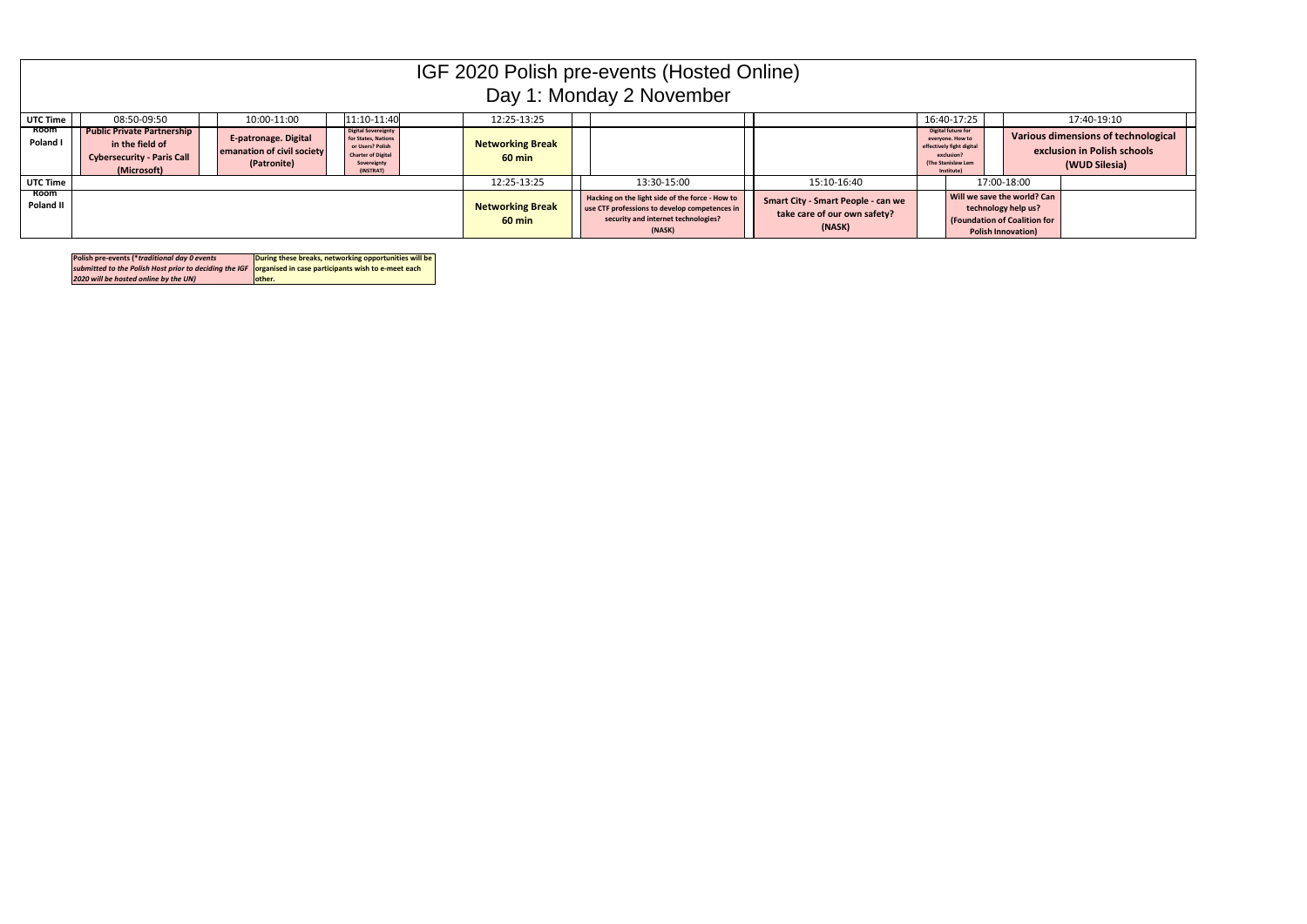|                   | IGF 2020 Polish pre-events (Hosted Online)<br>Day 1: Monday 2 November                                   |                                                                          |                                                                                                                                |                                             |                                                                                                                                                   |                                                                                     |                                                                                                                       |                                                                                                                        |                                                                                            |  |  |
|-------------------|----------------------------------------------------------------------------------------------------------|--------------------------------------------------------------------------|--------------------------------------------------------------------------------------------------------------------------------|---------------------------------------------|---------------------------------------------------------------------------------------------------------------------------------------------------|-------------------------------------------------------------------------------------|-----------------------------------------------------------------------------------------------------------------------|------------------------------------------------------------------------------------------------------------------------|--------------------------------------------------------------------------------------------|--|--|
| <b>UTC Time</b>   | 11:10-11:40<br>16:40-17:25<br>08:50-09:50<br>10:00-11:00<br>12:25-13:25<br>17:40-19:10                   |                                                                          |                                                                                                                                |                                             |                                                                                                                                                   |                                                                                     |                                                                                                                       |                                                                                                                        |                                                                                            |  |  |
| Room<br>Poland I  | <b>Public Private Partnership</b><br>in the field of<br><b>Cybersecurity - Paris Call</b><br>(Microsoft) | <b>E-patronage. Digital</b><br>emanation of civil society<br>(Patronite) | <b>Digital Sovereignty</b><br>for States, Nations<br>or Users? Polish<br><b>Charter of Digital</b><br>Sovereignty<br>(INSTRAT) | <b>Networking Break</b><br>$60 \text{ min}$ |                                                                                                                                                   |                                                                                     | Digital future for<br>everyone. How to<br>effectively fight digital<br>exclusion?<br>(The Stanislaw Lem<br>Institute) |                                                                                                                        | <b>Various dimensions of technological</b><br>exclusion in Polish schools<br>(WUD Silesia) |  |  |
| <b>UTC Time</b>   |                                                                                                          |                                                                          |                                                                                                                                | 12:25-13:25                                 | 13:30-15:00                                                                                                                                       | 15:10-16:40                                                                         |                                                                                                                       | 17:00-18:00                                                                                                            |                                                                                            |  |  |
| Room<br>Poland II |                                                                                                          |                                                                          |                                                                                                                                | <b>Networking Break</b><br>$60 \text{ min}$ | Hacking on the light side of the force - How to<br>use CTF professions to develop competences in<br>security and internet technologies?<br>(NASK) | <b>Smart City - Smart People - can we</b><br>take care of our own safety?<br>(NASK) |                                                                                                                       | Will we save the world? Can<br>technology help us?<br><b>(Foundation of Coalition for</b><br><b>Polish Innovation)</b> |                                                                                            |  |  |

| Polish pre-events (*traditional day 0 events                                                                   | During these breaks, networking opportunities will be |
|----------------------------------------------------------------------------------------------------------------|-------------------------------------------------------|
| submitted to the Polish Host prior to deciding the IGF $\,$ organised in case participants wish to e-meet each |                                                       |
| 2020 will be hosted online by the UN)                                                                          | lother.                                               |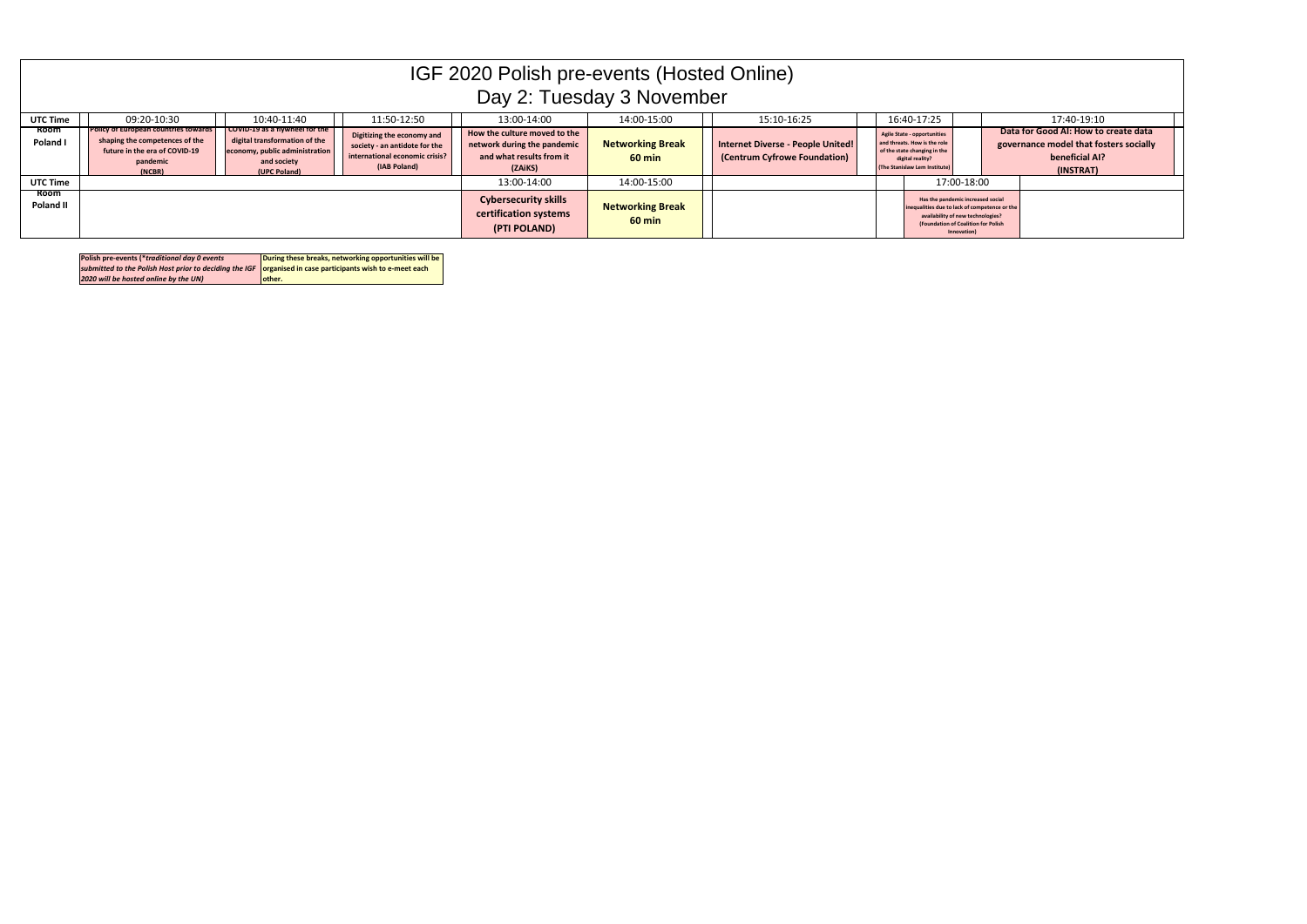|                          | IGF 2020 Polish pre-events (Hosted Online)<br>Day 2: Tuesday 3 November                                                              |                                                                                                                                  |                                                                                                               |                                                                                                    |                                             |                                                                   |  |                                                                                                                                                                               |  |                                                                                                               |  |
|--------------------------|--------------------------------------------------------------------------------------------------------------------------------------|----------------------------------------------------------------------------------------------------------------------------------|---------------------------------------------------------------------------------------------------------------|----------------------------------------------------------------------------------------------------|---------------------------------------------|-------------------------------------------------------------------|--|-------------------------------------------------------------------------------------------------------------------------------------------------------------------------------|--|---------------------------------------------------------------------------------------------------------------|--|
| UTC Time                 | 10:40-11:40<br>09:20-10:30<br>11:50-12:50<br>16:40-17:25<br>13:00-14:00<br>14:00-15:00<br>15:10-16:25<br>17:40-19:10                 |                                                                                                                                  |                                                                                                               |                                                                                                    |                                             |                                                                   |  |                                                                                                                                                                               |  |                                                                                                               |  |
| <b>Room</b><br>Poland I  | <b>Policy of European countries towards</b><br>shaping the competences of the<br>future in the era of COVID-19<br>pandemic<br>(NCBR) | COVID-19 as a flywheel for the<br>digital transformation of the<br>economy, public administration<br>and society<br>(UPC Poland) | Digitizing the economy and<br>society - an antidote for the<br>international economic crisis?<br>(IAB Poland) | How the culture moved to the<br>network during the pandemic<br>and what results from it<br>(ZAiKS) | <b>Networking Break</b><br>$60 \text{ min}$ | Internet Diverse - People United!<br>(Centrum Cyfrowe Foundation) |  | Agile State - opportunities<br>and threats. How is the role<br>of the state changing in the<br>digital reality?<br>(The Stanislaw Lem Institute)                              |  | Data for Good AI: How to create data<br>governance model that fosters socially<br>beneficial AI?<br>(INSTRAT) |  |
| <b>UTC Time</b>          |                                                                                                                                      |                                                                                                                                  |                                                                                                               | 13:00-14:00                                                                                        | 14:00-15:00                                 |                                                                   |  | 17:00-18:00                                                                                                                                                                   |  |                                                                                                               |  |
| <b>Room</b><br>Poland II |                                                                                                                                      |                                                                                                                                  |                                                                                                               | <b>Cybersecurity skills</b><br>certification systems<br>(PTI POLAND)                               | <b>Networking Break</b><br>$60 \text{ min}$ |                                                                   |  | Has the pandemic increased social<br>inequalities due to lack of competence or the<br>availability of new technologies?<br>(Foundation of Coalition for Polish<br>Innovation) |  |                                                                                                               |  |

| Polish pre-events (*traditional day 0 events                                                                   | During these breaks, networking opportunities will be |
|----------------------------------------------------------------------------------------------------------------|-------------------------------------------------------|
| submitted to the Polish Host prior to deciding the IGF $\,$ organised in case participants wish to e-meet each |                                                       |
| 2020 will be hosted online by the UN)                                                                          | lother.                                               |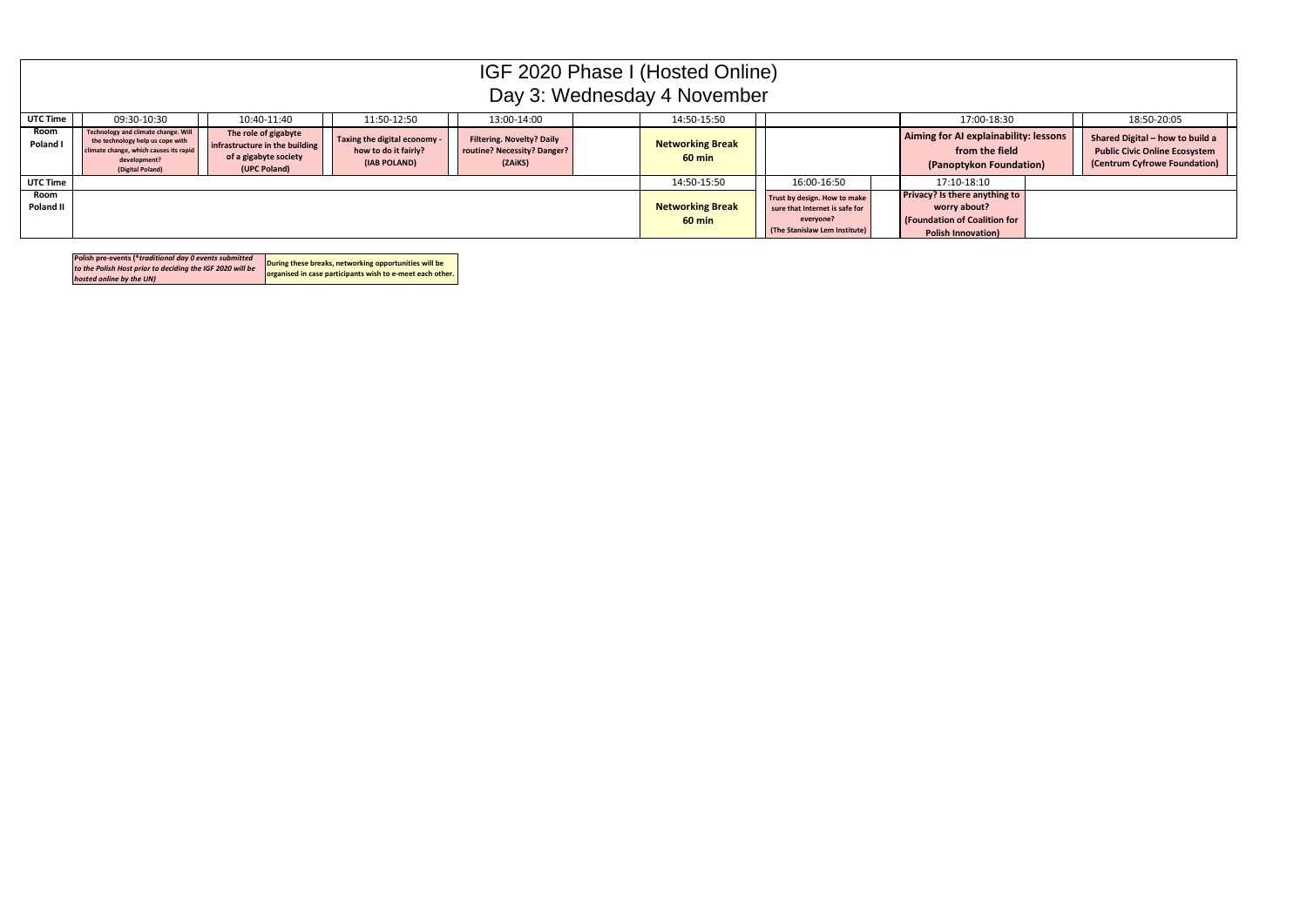| Polish pre-events (*traditional day 0 events submitted    | During these breaks, networking opportunities will be     |
|-----------------------------------------------------------|-----------------------------------------------------------|
| to the Polish Host prior to deciding the IGF 2020 will be |                                                           |
| hosted online by the UN)                                  | organised in case participants wish to e-meet each other. |

| IGF 2020 Phase I (Hosted Online)<br>Day 3: Wednesday 4 November |                                                                                                                                                       |                                                                                                 |                                                                      |                                                                            |  |                                     |                                                                                                              |                                                                                                                   |  |                                                                                                         |  |
|-----------------------------------------------------------------|-------------------------------------------------------------------------------------------------------------------------------------------------------|-------------------------------------------------------------------------------------------------|----------------------------------------------------------------------|----------------------------------------------------------------------------|--|-------------------------------------|--------------------------------------------------------------------------------------------------------------|-------------------------------------------------------------------------------------------------------------------|--|---------------------------------------------------------------------------------------------------------|--|
| <b>UTC Time</b>                                                 | 09:30-10:30<br>11:50-12:50<br>10:40-11:40<br>13:00-14:00<br>14:50-15:50<br>17:00-18:30<br>18:50-20:05                                                 |                                                                                                 |                                                                      |                                                                            |  |                                     |                                                                                                              |                                                                                                                   |  |                                                                                                         |  |
| Room<br>Poland I                                                | Technology and climate change. Will<br>the technology help us cope with<br>climate change, which causes its rapid<br>development?<br>(Digital Poland) | The role of gigabyte<br>infrastructure in the building<br>of a gigabyte society<br>(UPC Poland) | Taxing the digital economy -<br>how to do it fairly?<br>(IAB POLAND) | <b>Filtering. Novelty? Daily</b><br>routine? Necessity? Danger?<br>(ZAiKS) |  | <b>Networking Break</b><br>$60$ min |                                                                                                              | Aiming for AI explainability: lessons<br>from the field<br>(Panoptykon Foundation)                                |  | Shared Digital - how to build a<br><b>Public Civic Online Ecosystem</b><br>(Centrum Cyfrowe Foundation) |  |
| <b>UTC Time</b>                                                 |                                                                                                                                                       |                                                                                                 |                                                                      |                                                                            |  | 14:50-15:50                         | 16:00-16:50                                                                                                  | 17:10-18:10                                                                                                       |  |                                                                                                         |  |
| Room<br><b>Poland II</b>                                        |                                                                                                                                                       |                                                                                                 |                                                                      |                                                                            |  | <b>Networking Break</b><br>$60$ min | Trust by design. How to make<br>sure that Internet is safe for<br>everyone?<br>(The Stanislaw Lem Institute) | Privacy? Is there anything to<br>worry about?<br><b>(Foundation of Coalition for</b><br><b>Polish Innovation)</b> |  |                                                                                                         |  |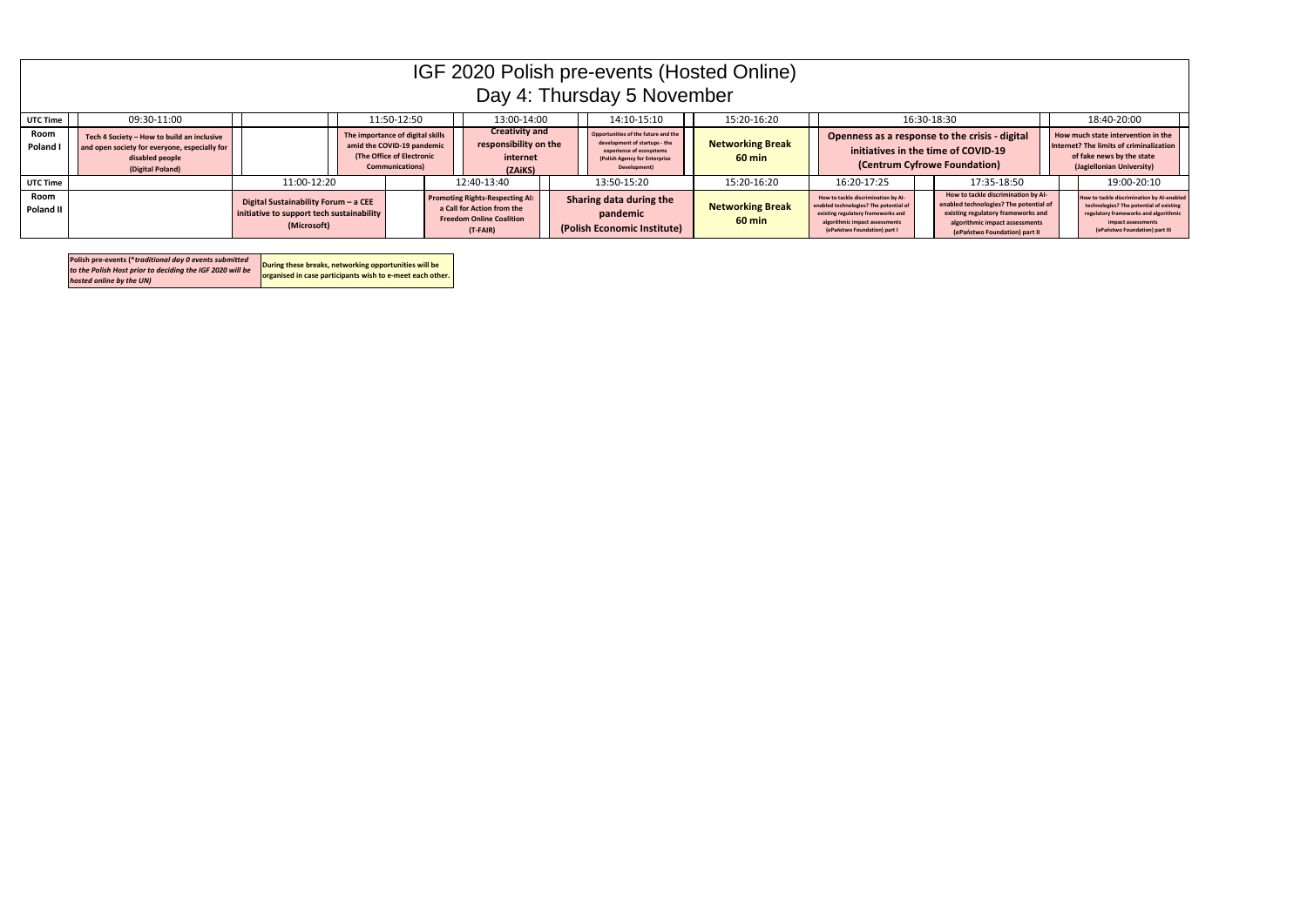|                                                                                                    | IGF 2020 Polish pre-events (Hosted Online)<br>Day 4: Thursday 5 November                                                           |                                                                                                  |  |                                                                                                                       |  |                                                                                                                       |  |                                                                                                                                                   |                                             |                                                                                                                                                                                       |  |                                                                                                                                                                                        |                                                                                                                                                                                        |
|----------------------------------------------------------------------------------------------------|------------------------------------------------------------------------------------------------------------------------------------|--------------------------------------------------------------------------------------------------|--|-----------------------------------------------------------------------------------------------------------------------|--|-----------------------------------------------------------------------------------------------------------------------|--|---------------------------------------------------------------------------------------------------------------------------------------------------|---------------------------------------------|---------------------------------------------------------------------------------------------------------------------------------------------------------------------------------------|--|----------------------------------------------------------------------------------------------------------------------------------------------------------------------------------------|----------------------------------------------------------------------------------------------------------------------------------------------------------------------------------------|
| 15:20-16:20<br>09:30-11:00<br>11:50-12:50<br>13:00-14:00<br>14:10-15:10<br>16:30-18:30<br>UTC Time |                                                                                                                                    |                                                                                                  |  |                                                                                                                       |  |                                                                                                                       |  |                                                                                                                                                   | 18:40-20:00                                 |                                                                                                                                                                                       |  |                                                                                                                                                                                        |                                                                                                                                                                                        |
| Room<br>Poland I                                                                                   | Tech 4 Society - How to build an inclusive<br>and open society for everyone, especially for<br>disabled people<br>(Digital Poland) |                                                                                                  |  | The importance of digital skills<br>amid the COVID-19 pandemic<br>(The Office of Electronic<br><b>Communications)</b> |  | <b>Creativity and</b><br>responsibility on the<br>internet<br>(ZAiKS)                                                 |  | Opportunities of the future and the<br>development of startups - the<br>experience of ecosystems<br>(Polish Agency for Enterprise<br>Development) | <b>Networking Break</b><br>$60 \text{ min}$ |                                                                                                                                                                                       |  | Openness as a response to the crisis - digital<br>initiatives in the time of COVID-19<br>(Centrum Cyfrowe Foundation)                                                                  | How much state intervention in the<br>Internet? The limits of criminalization<br>of fake news by the state<br>(Jagiellonian University)                                                |
| <b>UTC Time</b>                                                                                    |                                                                                                                                    | 11:00-12:20                                                                                      |  |                                                                                                                       |  | 12:40-13:40                                                                                                           |  | 13:50-15:20                                                                                                                                       | 15:20-16:20                                 | 16:20-17:25                                                                                                                                                                           |  | 17:35-18:50                                                                                                                                                                            | 19:00-20:10                                                                                                                                                                            |
| Room<br>Poland II                                                                                  |                                                                                                                                    | Digital Sustainability Forum - a CEE<br>initiative to support tech sustainability<br>(Microsoft) |  |                                                                                                                       |  | <b>Promoting Rights-Respecting AI:</b><br>a Call for Action from the<br><b>Freedom Online Coalition</b><br>$(T-FAIR)$ |  | Sharing data during the<br>pandemic<br>(Polish Economic Institute)                                                                                | <b>Networking Break</b><br>$60 \text{ min}$ | How to tackle discrimination by Al-<br>enabled technologies? The potential of<br>existing regulatory frameworks and<br>algorithmic impact assessments<br>(ePaństwo Foundation) part I |  | How to tackle discrimination by Al-<br>enabled technologies? The potential of<br>existing regulatory frameworks and<br>algorithmic impact assessments<br>(ePaństwo Foundation) part II | How to tackle discrimination by AI-enabled<br>technologies? The potential of existing<br>regulatory frameworks and algorithmic<br>impact assessments<br>(ePaństwo Foundation) part III |

| Polish pre-events (*traditional day 0 events submitted<br>to the Polish Host prior to deciding the IGF 2020 will be<br>hosted online by the UN) | During these breaks, networking opportunities will be<br>organised in case participants wish to e-meet each other. |
|-------------------------------------------------------------------------------------------------------------------------------------------------|--------------------------------------------------------------------------------------------------------------------|
|-------------------------------------------------------------------------------------------------------------------------------------------------|--------------------------------------------------------------------------------------------------------------------|